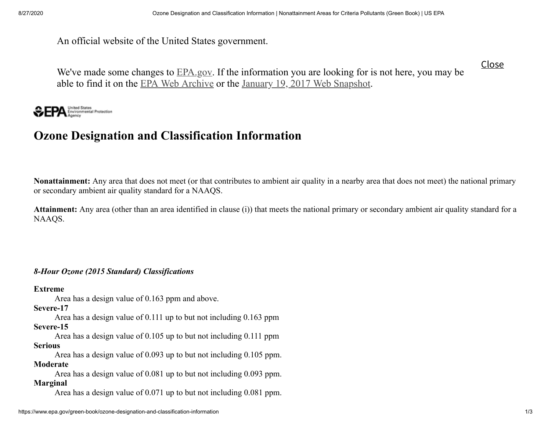An official website of the United States government.

Close

We've made some changes to **[EPA.gov](https://www.epa.gov/).** If the information you are looking for is not here, you may be able to find it on the EPA Web [Archive](https://archive.epa.gov/) or the January 19, 2017 Web [Snapshot](https://19january2017snapshot.epa.gov/).



# **Ozone Designation and Classification Information**

**Nonattainment:** Any area that does not meet (or that contributes to ambient air quality in a nearby area that does not meet) the national primary or secondary ambient air quality standard for a NAAQS.

**Attainment:** Any area (other than an area identified in clause (i)) that meets the national primary or secondary ambient air quality standard for a NAAQS.

# *8-Hour Ozone (2015 Standard) Classifications*

**Extreme**

Area has a design value of 0.163 ppm and above.

**Severe-17**

Area has a design value of 0.111 up to but not including 0.163 ppm **Severe-15**

Area has a design value of 0.105 up to but not including 0.111 ppm **Serious**

Area has a design value of 0.093 up to but not including 0.105 ppm. **Moderate**

Area has a design value of 0.081 up to but not including 0.093 ppm. **Marginal**

Area has a design value of 0.071 up to but not including 0.081 ppm.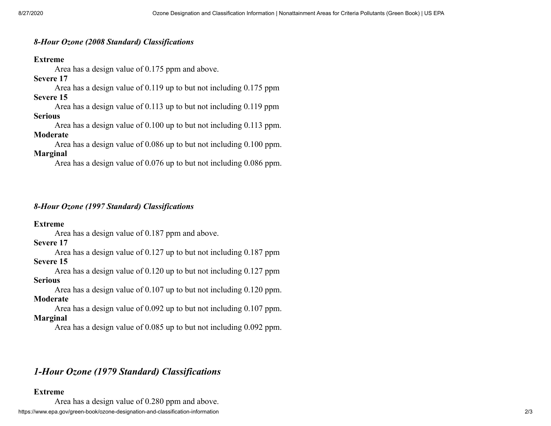### *8-Hour Ozone (2008 Standard) Classifications*

### **Extreme**

Area has a design value of 0.175 ppm and above.

### **Severe 17**

Area has a design value of 0.119 up to but not including 0.175 ppm **Severe 15**

Area has a design value of 0.113 up to but not including 0.119 ppm

#### **Serious**

Area has a design value of 0.100 up to but not including 0.113 ppm.

### **Moderate**

Area has a design value of 0.086 up to but not including 0.100 ppm. **Marginal**

Area has a design value of 0.076 up to but not including 0.086 ppm.

# *8-Hour Ozone (1997 Standard) Classifications*

### **Extreme**

Area has a design value of 0.187 ppm and above.

### **Severe 17**

Area has a design value of 0.127 up to but not including 0.187 ppm

# **Severe 15**

Area has a design value of 0.120 up to but not including 0.127 ppm **Serious**

Area has a design value of 0.107 up to but not including 0.120 ppm. **Moderate**

Area has a design value of 0.092 up to but not including 0.107 ppm. **Marginal**

Area has a design value of 0.085 up to but not including 0.092 ppm.

# *1-Hour Ozone (1979 Standard) Classifications*

### **Extreme**

https://www.epa.gov/green-book/ozone-designation-and-classification-information 2/3 Area has a design value of 0.280 ppm and above.